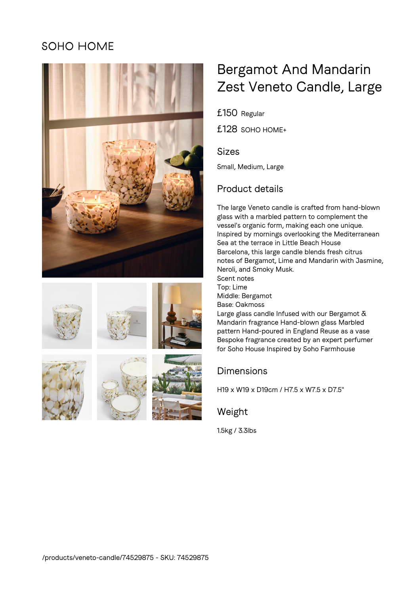## **SOHO HOME**















# Bergamot And Mandarin Zest Veneto Candle, Large

£150 Regular

£128 SOHO HOME+

#### Sizes

Small, Medium, Large

## Product details

The large Veneto candle is crafted from hand-blown glass with a marbled pattern to complement the vessel's organic form, making each one unique. Inspired by mornings overlooking the Mediterranean Sea at the terrace in Little Beach House Barcelona, this large candle blends fresh citrus notes of Bergamot, Lime and Mandarin with Jasmine, Neroli, and Smoky Musk. Scent notes Top: Lime Middle: Bergamot Base: Oakmoss Large glass candle Infused with our Bergamot & Mandarin fragrance Hand-blown glass Marbled pattern Hand-poured in England Reuse as a vase Bespoke fragrance created by an expert perfumer for Soho House Inspired by Soho Farmhouse

### Dimensions

H19 x W19 x D19cm / H7.5 x W7.5 x D7.5"

Weight

1.5kg / 3.3lbs